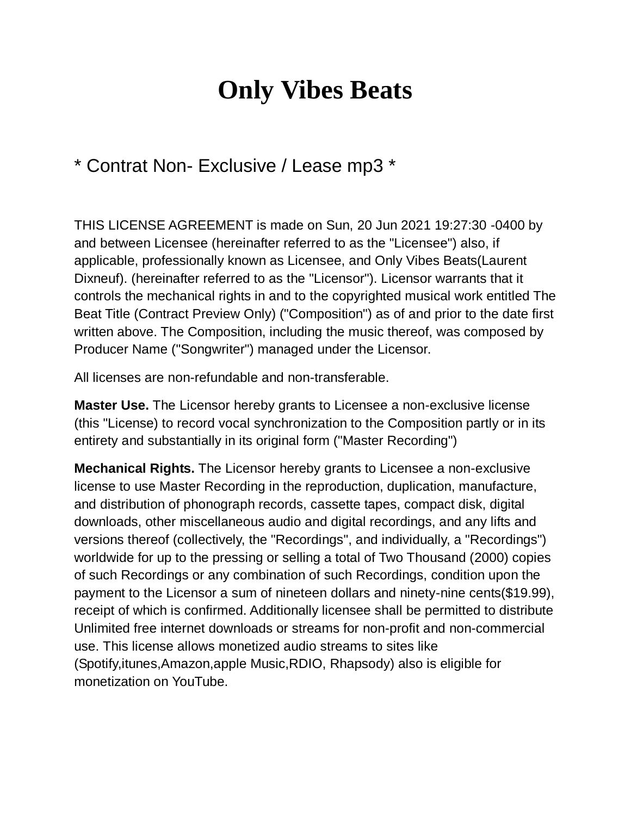## **Only Vibes Beats**

## \* Contrat Non- Exclusive / Lease mp3 \*

THIS LICENSE AGREEMENT is made on Sun, 20 Jun 2021 19:27:30 -0400 by and between Licensee (hereinafter referred to as the "Licensee") also, if applicable, professionally known as Licensee, and Only Vibes Beats(Laurent Dixneuf). (hereinafter referred to as the "Licensor"). Licensor warrants that it controls the mechanical rights in and to the copyrighted musical work entitled The Beat Title (Contract Preview Only) ("Composition") as of and prior to the date first written above. The Composition, including the music thereof, was composed by Producer Name ("Songwriter") managed under the Licensor.

All licenses are non-refundable and non-transferable.

**Master Use.** The Licensor hereby grants to Licensee a non-exclusive license (this "License) to record vocal synchronization to the Composition partly or in its entirety and substantially in its original form ("Master Recording")

**Mechanical Rights.** The Licensor hereby grants to Licensee a non-exclusive license to use Master Recording in the reproduction, duplication, manufacture, and distribution of phonograph records, cassette tapes, compact disk, digital downloads, other miscellaneous audio and digital recordings, and any lifts and versions thereof (collectively, the "Recordings", and individually, a "Recordings") worldwide for up to the pressing or selling a total of Two Thousand (2000) copies of such Recordings or any combination of such Recordings, condition upon the payment to the Licensor a sum of nineteen dollars and ninety-nine cents(\$19.99), receipt of which is confirmed. Additionally licensee shall be permitted to distribute Unlimited free internet downloads or streams for non-profit and non-commercial use. This license allows monetized audio streams to sites like (Spotify,itunes,Amazon,apple Music,RDIO, Rhapsody) also is eligible for monetization on YouTube.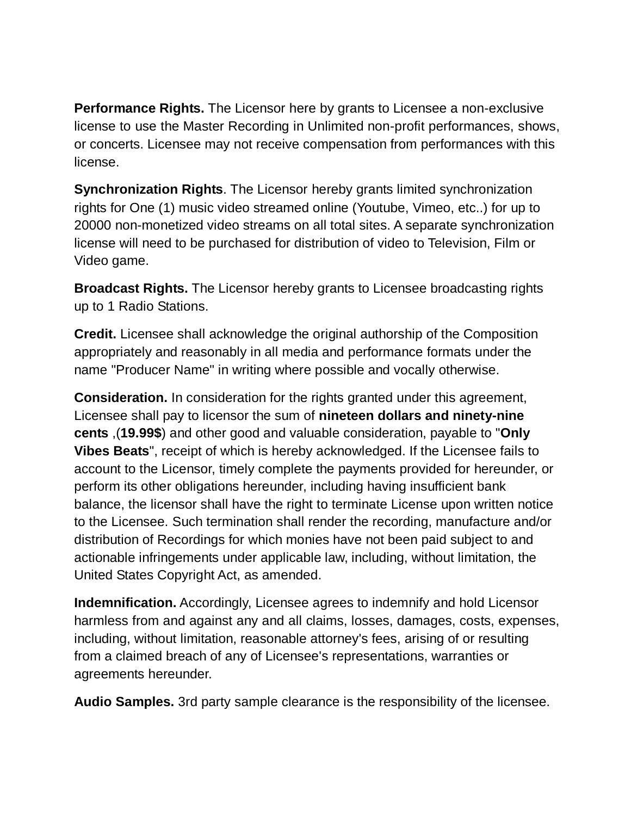**Performance Rights.** The Licensor here by grants to Licensee a non-exclusive license to use the Master Recording in Unlimited non-profit performances, shows, or concerts. Licensee may not receive compensation from performances with this license.

**Synchronization Rights**. The Licensor hereby grants limited synchronization rights for One (1) music video streamed online (Youtube, Vimeo, etc..) for up to 20000 non-monetized video streams on all total sites. A separate synchronization license will need to be purchased for distribution of video to Television, Film or Video game.

**Broadcast Rights.** The Licensor hereby grants to Licensee broadcasting rights up to 1 Radio Stations.

**Credit.** Licensee shall acknowledge the original authorship of the Composition appropriately and reasonably in all media and performance formats under the name "Producer Name" in writing where possible and vocally otherwise.

**Consideration.** In consideration for the rights granted under this agreement, Licensee shall pay to licensor the sum of **nineteen dollars and ninety-nine cents** ,(**19.99\$**) and other good and valuable consideration, payable to "**Only Vibes Beats**", receipt of which is hereby acknowledged. If the Licensee fails to account to the Licensor, timely complete the payments provided for hereunder, or perform its other obligations hereunder, including having insufficient bank balance, the licensor shall have the right to terminate License upon written notice to the Licensee. Such termination shall render the recording, manufacture and/or distribution of Recordings for which monies have not been paid subject to and actionable infringements under applicable law, including, without limitation, the United States Copyright Act, as amended.

**Indemnification.** Accordingly, Licensee agrees to indemnify and hold Licensor harmless from and against any and all claims, losses, damages, costs, expenses, including, without limitation, reasonable attorney's fees, arising of or resulting from a claimed breach of any of Licensee's representations, warranties or agreements hereunder.

**Audio Samples.** 3rd party sample clearance is the responsibility of the licensee.